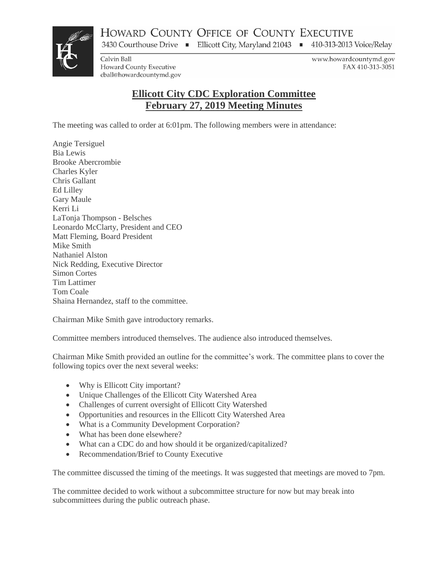HOWARD COUNTY OFFICE OF COUNTY EXECUTIVE

3430 Courthouse Drive • Ellicott City, Maryland 21043 • 410-313-2013 Voice/Relay



Calvin Ball Howard County Executive cball@howardcountymd.gov www.howardcountymd.gov FAX 410-313-3051

## **Ellicott City CDC Exploration Committee February 27, 2019 Meeting Minutes**

The meeting was called to order at 6:01pm. The following members were in attendance:

Angie Tersiguel Bia Lewis Brooke Abercrombie Charles Kyler Chris Gallant Ed Lilley Gary Maule Kerri Li LaTonja Thompson - Belsches Leonardo McClarty, President and CEO Matt Fleming, Board President Mike Smith Nathaniel Alston Nick Redding, Executive Director Simon Cortes Tim Lattimer Tom Coale Shaina Hernandez, staff to the committee.

Chairman Mike Smith gave introductory remarks.

Committee members introduced themselves. The audience also introduced themselves.

Chairman Mike Smith provided an outline for the committee's work. The committee plans to cover the following topics over the next several weeks:

- Why is Ellicott City important?
- Unique Challenges of the Ellicott City Watershed Area
- Challenges of current oversight of Ellicott City Watershed
- Opportunities and resources in the Ellicott City Watershed Area
- What is a Community Development Corporation?
- What has been done elsewhere?
- What can a CDC do and how should it be organized/capitalized?
- Recommendation/Brief to County Executive

The committee discussed the timing of the meetings. It was suggested that meetings are moved to 7pm.

The committee decided to work without a subcommittee structure for now but may break into subcommittees during the public outreach phase.